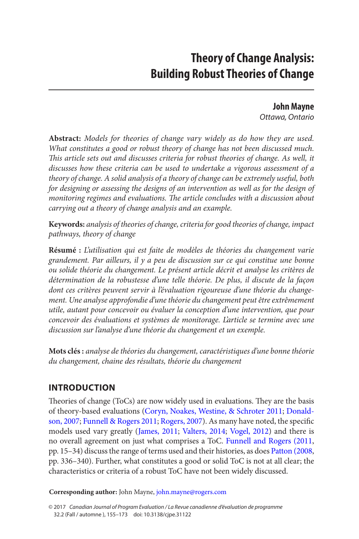# **Theory of Change Analysis: Building Robust Theories of Change**

**John Mayne** *Ottawa, Ontario*

<span id="page-0-0"></span>**Abstract:** *Models for theories of change vary widely as do how they are used. What constitutes a good or robust theory of change has not been discussed much. This article sets out and discusses criteria for robust theories of change. As well, it discusses how these criteria can be used to undertake a vigorous assessment of a theory of change. A solid analysis of a theory of change can be extremely useful, both for designing or assessing the designs of an intervention as well as for the design of monitoring regimes and evaluations. The article concludes with a discussion about carrying out a theory of change analysis and an example.*

**Keywords:** *analysis of theories of change, criteria for good theories of change, impact pathways, theory of change*

**Résumé :** *L'utilisation qui est faite de modèles de théories du changement varie grandement. Par ailleurs, il y a peu de discussion sur ce qui constitue une bonne ou solide théorie du changement. Le présent article décrit et analyse les critères de détermination de la robustesse d'une telle théorie. De plus, il discute de la façon dont ces critères peuvent servir à l'évaluation rigoureuse d'une théorie du changement. Une analyse approfondie d'une théorie du changement peut être extrêmement utile, autant pour concevoir ou évaluer la conception d'une intervention, que pour concevoir des évaluations et systèmes de monitorage. L'article se termine avec une discussion sur l'analyse d'une théorie du changement et un exemple.*

**Mots clés :** *analyse de théories du changement, caractéristiques d'une bonne théorie du changement, chaine des résultats, théorie du changement*

# **Introduction**

Theories of change (ToCs) are now widely used in evaluations. They are the basis of theory-based evaluations ([Coryn, Noakes, Westine, & Schroter 2011](#page-16-0); [Donald](#page-16-0)[son, 2007](#page-16-0); [Funnell & Rogers 2011](#page-16-0); [Rogers, 2007](#page-17-0)). As many have noted, the specific models used vary greatly ([James, 2011](#page-16-0); [Valters, 2014](#page-18-0); [Vogel, 2012](#page-18-0)) and there is no overall agreement on just what comprises a ToC. [Funnell and Rogers \(2011](#page-16-0), pp. 15–34) discuss the range of terms used and their histories, as does [Patton \(2008](#page-17-0), pp. 336–340). Further, what constitutes a good or solid ToC is not at all clear; the characteristics or criteria of a robust ToC have not been widely discussed.

**Corresponding author:** John Mayne, [john.mayne@rogers.com](mailto:john.mayne@rogers.com)

<sup>© 2017</sup> *Canadian Journal of Program Evaluation / La Revue canadienne d'évaluation de programme* 32.2 (Fall / automne ), 155–173 doi: 10.3138/cjpe.31122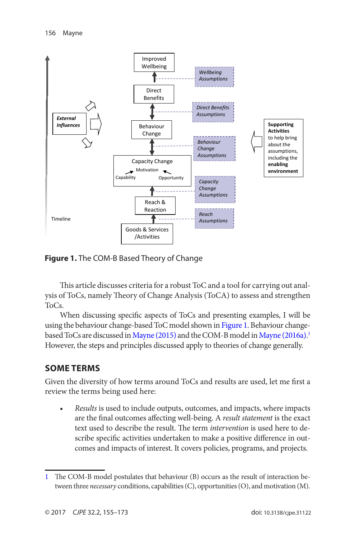<span id="page-1-0"></span>

**Figure 1.** The COM-B Based Theory of Change

This article discusses criteria for a robust ToC and a tool for carrying out analysis of ToCs, namely Theory of Change Analysis (ToCA) to assess and strengthen ToCs.

When discussing specific aspects of ToCs and presenting examples, I will be using the behaviour change-based ToC model shown in Figure 1. Behaviour changebased ToCs are discussed in [Mayne \(2015\)](#page-17-0) and the COM-B model in [Mayne \(2016a\)](#page-17-0). 1 However, the steps and principles discussed apply to theories of change generally.

### **Some Terms**

Given the diversity of how terms around ToCs and results are used, let me first a review the terms being used here:

• *Results* is used to include outputs, outcomes, and impacts, where impacts are the final outcomes affecting well-being. A *result statement* is the exact text used to describe the result. The term *intervention* is used here to describe specific activities undertaken to make a positive difference in outcomes and impacts of interest. It covers policies, programs, and projects.

<sup>1</sup> The COM-B model postulates that behaviour (B) occurs as the result of interaction between three *necessary* conditions, capabilities (C), opportunities (O), and motivation (M).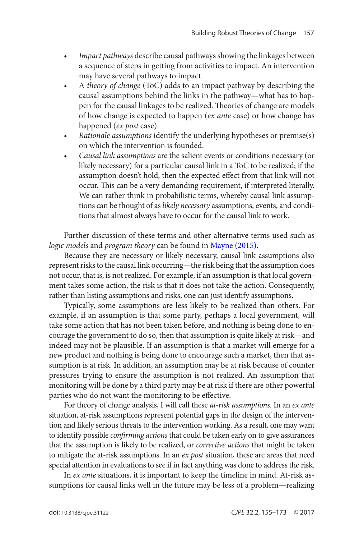- *Impact pathways* describe causal pathways showing the linkages between a sequence of steps in getting from activities to impact. An intervention may have several pathways to impact.
- A *theory of change* (ToC) adds to an impact pathway by describing the causal assumptions behind the links in the pathway—what has to happen for the causal linkages to be realized. Theories of change are models of how change is expected to happen (*ex ante* case) or how change has happened (*ex post* case).
- *Rationale assumptions* identify the underlying hypotheses or premise(s) on which the intervention is founded.
- *Causal link assumptions* are the salient events or conditions necessary (or likely necessary) for a particular causal link in a ToC to be realized; if the assumption doesn't hold, then the expected effect from that link will not occur. This can be a very demanding requirement, if interpreted literally. We can rather think in probabilistic terms, whereby causal link assumptions can be thought of as *likely necessary* assumptions, events, and conditions that almost always have to occur for the causal link to work.

Further discussion of these terms and other alternative terms used such as *logic models* and *program theory* can be found in [Mayne \(2015\).](#page-17-0)

Because they are necessary or likely necessary, causal link assumptions also represent risks to the causal link occurring—the risk being that the assumption does not occur, that is, is not realized. For example, if an assumption is that local government takes some action, the risk is that it does not take the action. Consequently, rather than listing assumptions and risks, one can just identify assumptions.

Typically, some assumptions are less likely to be realized than others. For example, if an assumption is that some party, perhaps a local government, will take some action that has not been taken before, and nothing is being done to encourage the government to do so, then that assumption is quite likely at risk—and indeed may not be plausible. If an assumption is that a market will emerge for a new product and nothing is being done to encourage such a market, then that assumption is at risk. In addition, an assumption may be at risk because of counter pressures trying to ensure the assumption is not realized. An assumption that monitoring will be done by a third party may be at risk if there are other powerful parties who do not want the monitoring to be effective.

For theory of change analysis, I will call these *at-risk assumptions*. In an *ex ante* situation, at-risk assumptions represent potential gaps in the design of the intervention and likely serious threats to the intervention working. As a result, one may want to identify possible *confirming actions* that could be taken early on to give assurances that the assumption is likely to be realized, or *corrective actions* that might be taken to mitigate the at-risk assumptions. In an *ex post* situation, these are areas that need special attention in evaluations to see if in fact anything was done to address the risk.

In *ex ante* situations, it is important to keep the timeline in mind. At-risk assumptions for causal links well in the future may be less of a problem—realizing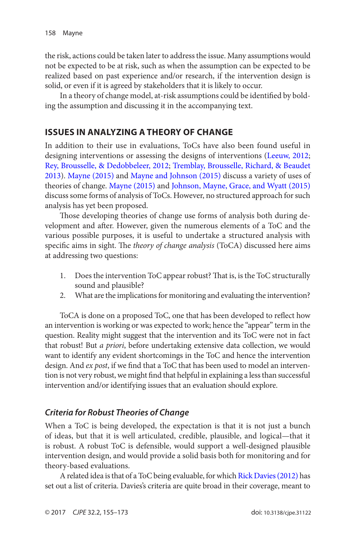<span id="page-3-0"></span>the risk, actions could be taken later to address the issue. Many assumptions would not be expected to be at risk, such as when the assumption can be expected to be realized based on past experience and/or research, if the intervention design is solid, or even if it is agreed by stakeholders that it is likely to occur.

In a theory of change model, at-risk assumptions could be identified by bolding the assumption and discussing it in the accompanying text.

### **Issues in Analyzing a Theory of Change**

In addition to their use in evaluations, ToCs have also been found useful in designing interventions or assessing the designs of interventions ([Leeuw, 2012](#page-17-0); [Rey, Brousselle, & Dedobbeleer, 2012](#page-17-0); [Tremblay, Brousselle, Richard, & Beaudet](#page-17-0)  [2013](#page-17-0)). [Mayne \(2015\)](#page-17-0) and [Mayne and Johnson \(2015\)](#page-17-0) discuss a variety of uses of theories of change. [Mayne \(2015\)](#page-17-0) and [Johnson, Mayne, Grace, and Wyatt \(2015\)](#page-16-0) discuss some forms of analysis of ToCs. However, no structured approach for such analysis has yet been proposed.

Those developing theories of change use forms of analysis both during development and after. However, given the numerous elements of a ToC and the various possible purposes, it is useful to undertake a structured analysis with specific aims in sight. The *theory of change analysis* (ToCA) discussed here aims at addressing two questions:

- 1. Does the intervention ToC appear robust? That is, is the ToC structurally sound and plausible?
- 2. What are the implications for monitoring and evaluating the intervention?

ToCA is done on a proposed ToC, one that has been developed to reflect how an intervention is working or was expected to work; hence the "appear" term in the question. Reality might suggest that the intervention and its ToC were not in fact that robust! But *a priori*, before undertaking extensive data collection, we would want to identify any evident shortcomings in the ToC and hence the intervention design. And *ex post*, if we find that a ToC that has been used to model an intervention is not very robust, we might find that helpful in explaining a less than successful intervention and/or identifying issues that an evaluation should explore.

### *Criteria for Robust Theories of Change*

When a ToC is being developed, the expectation is that it is not just a bunch of ideas, but that it is well articulated, credible, plausible, and logical—that it is robust. A robust ToC is defensible, would support a well-designed plausible intervention design, and would provide a solid basis both for monitoring and for theory-based evaluations.

A related idea is that of a ToC being evaluable, for which [Rick Davies \(2012\)](#page-16-0) has set out a list of criteria. Davies's criteria are quite broad in their coverage, meant to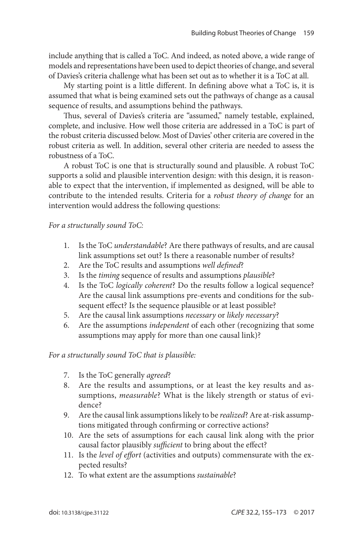include anything that is called a ToC. And indeed, as noted above, a wide range of models and representations have been used to depict theories of change, and several of Davies's criteria challenge what has been set out as to whether it is a ToC at all.

My starting point is a little different. In defining above what a ToC is, it is assumed that what is being examined sets out the pathways of change as a causal sequence of results, and assumptions behind the pathways.

Thus, several of Davies's criteria are "assumed," namely testable, explained, complete, and inclusive. How well those criteria are addressed in a ToC is part of the robust criteria discussed below. Most of Davies' other criteria are covered in the robust criteria as well. In addition, several other criteria are needed to assess the robustness of a ToC.

A robust ToC is one that is structurally sound and plausible. A robust ToC supports a solid and plausible intervention design: with this design, it is reasonable to expect that the intervention, if implemented as designed, will be able to contribute to the intended results. Criteria for a *robust theory of change* for an intervention would address the following questions:

*For a structurally sound ToC:*

- 1. Is the ToC *understandable*? Are there pathways of results, and are causal link assumptions set out? Is there a reasonable number of results?
- 2. Are the ToC results and assumptions *well defined*?
- 3. Is the *timing* sequence of results and assumptions *plausible*?
- 4. Is the ToC *logically coherent*? Do the results follow a logical sequence? Are the causal link assumptions pre-events and conditions for the subsequent effect? Is the sequence plausible or at least possible?
- 5. Are the causal link assumptions *necessary* or *likely necessary*?
- 6. Are the assumptions *independent* of each other (recognizing that some assumptions may apply for more than one causal link)?

*For a structurally sound ToC that is plausible:*

- 7. Is the ToC generally *agreed*?
- 8. Are the results and assumptions, or at least the key results and assumptions, *measurable*? What is the likely strength or status of evidence?
- 9. Are the causal link assumptions likely to be *realized*? Are at-risk assumptions mitigated through confirming or corrective actions?
- 10. Are the sets of assumptions for each causal link along with the prior causal factor plausibly *sufficient* to bring about the effect?
- 11. Is the *level of effort* (activities and outputs) commensurate with the expected results?
- 12. To what extent are the assumptions *sustainable*?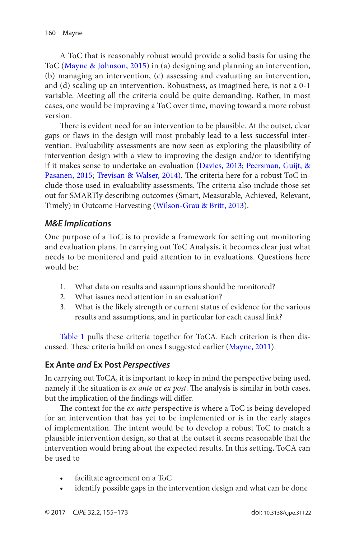<span id="page-5-0"></span>A ToC that is reasonably robust would provide a solid basis for using the ToC ([Mayne & Johnson, 2015](#page-17-0)) in (a) designing and planning an intervention, (b) managing an intervention, (c) assessing and evaluating an intervention, and (d) scaling up an intervention. Robustness, as imagined here, is not a 0-1 variable. Meeting all the criteria could be quite demanding. Rather, in most cases, one would be improving a ToC over time, moving toward a more robust version.

There is evident need for an intervention to be plausible. At the outset, clear gaps or flaws in the design will most probably lead to a less successful intervention. Evaluability assessments are now seen as exploring the plausibility of intervention design with a view to improving the design and/or to identifying if it makes sense to undertake an evaluation ([Davies, 2013](#page-16-0); [Peersman, Guijt, &](#page-17-0) [Pasanen, 2015](#page-17-0); [Trevisan & Walser, 2014](#page-17-0)). The criteria here for a robust ToC include those used in evaluability assessments. The criteria also include those set out for SMARTly describing outcomes (Smart, Measurable, Achieved, Relevant, Timely) in Outcome Harvesting ([Wilson-Grau & Britt, 2013](#page-18-0)).

#### *M&E Implications*

One purpose of a ToC is to provide a framework for setting out monitoring and evaluation plans. In carrying out ToC Analysis, it becomes clear just what needs to be monitored and paid attention to in evaluations. Questions here would be:

- 1. What data on results and assumptions should be monitored?
- 2. What issues need attention in an evaluation?
- 3. What is the likely strength or current status of evidence for the various results and assumptions, and in particular for each causal link?

[Table 1](#page-7-0) pulls these criteria together for ToCA. Each criterion is then discussed. These criteria build on ones I suggested earlier ([Mayne, 2011](#page-17-0)).

### **Ex Ante** *and* **Ex Post** *Perspectives*

In carrying out ToCA, it is important to keep in mind the perspective being used, namely if the situation is *ex ante* or *ex post*. The analysis is similar in both cases, but the implication of the findings will differ.

The context for the *ex ante* perspective is where a ToC is being developed for an intervention that has yet to be implemented or is in the early stages of implementation. The intent would be to develop a robust ToC to match a plausible intervention design, so that at the outset it seems reasonable that the intervention would bring about the expected results. In this setting, ToCA can be used to

- facilitate agreement on a ToC
- identify possible gaps in the intervention design and what can be done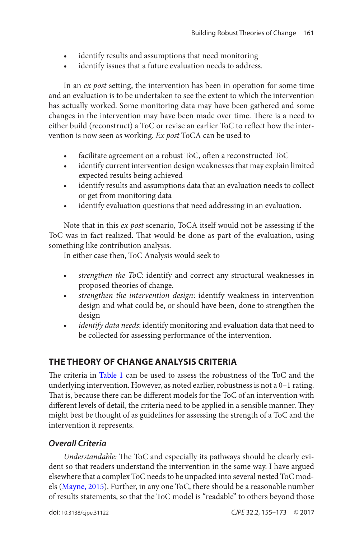- identify results and assumptions that need monitoring
- identify issues that a future evaluation needs to address.

In an *ex post* setting, the intervention has been in operation for some time and an evaluation is to be undertaken to see the extent to which the intervention has actually worked. Some monitoring data may have been gathered and some changes in the intervention may have been made over time. There is a need to either build (reconstruct) a ToC or revise an earlier ToC to reflect how the intervention is now seen as working. *Ex post* ToCA can be used to

- facilitate agreement on a robust ToC, often a reconstructed ToC
- identify current intervention design weaknesses that may explain limited expected results being achieved
- identify results and assumptions data that an evaluation needs to collect or get from monitoring data
- identify evaluation questions that need addressing in an evaluation.

Note that in this *ex post* scenario, ToCA itself would not be assessing if the ToC was in fact realized. That would be done as part of the evaluation, using something like contribution analysis.

In either case then, ToC Analysis would seek to

- *strengthen the ToC*: identify and correct any structural weaknesses in proposed theories of change.
- *strengthen the intervention design*: identify weakness in intervention design and what could be, or should have been, done to strengthen the design
- *identify data needs*: identify monitoring and evaluation data that need to be collected for assessing performance of the intervention.

# **The Theory of Change Analysis Criteria**

The criteria in [Table 1](#page-7-0) can be used to assess the robustness of the ToC and the underlying intervention. However, as noted earlier, robustness is not a 0–1 rating. That is, because there can be different models for the ToC of an intervention with different levels of detail, the criteria need to be applied in a sensible manner. They might best be thought of as guidelines for assessing the strength of a ToC and the intervention it represents.

# *Overall Criteria*

*Understandable:* The ToC and especially its pathways should be clearly evident so that readers understand the intervention in the same way. I have argued elsewhere that a complex ToC needs to be unpacked into several nested ToC models ([Mayne, 2015](#page-17-0)). Further, in any one ToC, there should be a reasonable number of results statements, so that the ToC model is "readable" to others beyond those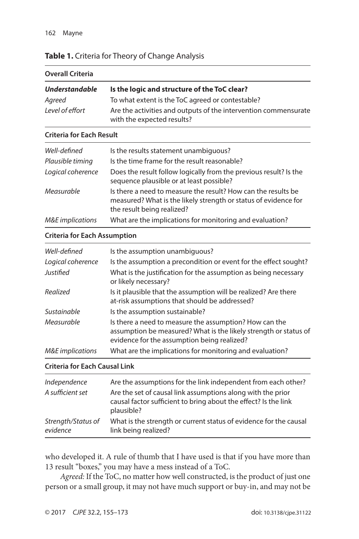### <span id="page-7-0"></span>**Table 1.** Criteria for Theory of Change Analysis

| <b>Overall Criteria</b> |                                                                                               |  |
|-------------------------|-----------------------------------------------------------------------------------------------|--|
| <b>Understandable</b>   | Is the logic and structure of the ToC clear?                                                  |  |
| Agreed                  | To what extent is the ToC agreed or contestable?                                              |  |
| Level of effort         | Are the activities and outputs of the intervention commensurate<br>with the expected results? |  |

#### **Criteria for Each Result**

| Well-defined<br>Plausible timing | Is the results statement unambiquous?<br>Is the time frame for the result reasonable?                                                                          |
|----------------------------------|----------------------------------------------------------------------------------------------------------------------------------------------------------------|
| Logical coherence                | Does the result follow logically from the previous result? Is the<br>sequence plausible or at least possible?                                                  |
| Measurable                       | Is there a need to measure the result? How can the results be<br>measured? What is the likely strength or status of evidence for<br>the result being realized? |
| <b>M&amp;E</b> implications      | What are the implications for monitoring and evaluation?                                                                                                       |

#### **Criteria for Each Assumption**

| Well-defined                | Is the assumption unambiguous?                                                                                                                                            |
|-----------------------------|---------------------------------------------------------------------------------------------------------------------------------------------------------------------------|
| Logical coherence           | Is the assumption a precondition or event for the effect sought?                                                                                                          |
| Justified                   | What is the justification for the assumption as being necessary<br>or likely necessary?                                                                                   |
| Realized                    | Is it plausible that the assumption will be realized? Are there<br>at-risk assumptions that should be addressed?                                                          |
| Sustainable                 | Is the assumption sustainable?                                                                                                                                            |
| Measurable                  | Is there a need to measure the assumption? How can the<br>assumption be measured? What is the likely strength or status of<br>evidence for the assumption being realized? |
| <b>M&amp;E</b> implications | What are the implications for monitoring and evaluation?                                                                                                                  |

#### **Criteria for Each Causal Link**

| Independence                   | Are the assumptions for the link independent from each other?                                                                                |
|--------------------------------|----------------------------------------------------------------------------------------------------------------------------------------------|
| A sufficient set               | Are the set of causal link assumptions along with the prior<br>causal factor sufficient to bring about the effect? Is the link<br>plausible? |
| Strength/Status of<br>evidence | What is the strength or current status of evidence for the causal<br>link being realized?                                                    |

who developed it. A rule of thumb that I have used is that if you have more than 13 result "boxes," you may have a mess instead of a ToC.

*Agreed:* If the ToC, no matter how well constructed, is the product of just one person or a small group, it may not have much support or buy-in, and may not be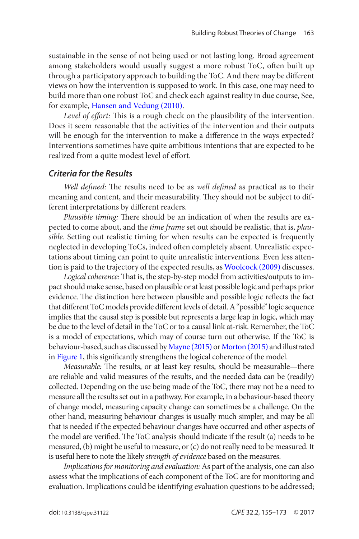<span id="page-8-0"></span>sustainable in the sense of not being used or not lasting long. Broad agreement among stakeholders would usually suggest a more robust ToC, often built up through a participatory approach to building the ToC. And there may be different views on how the intervention is supposed to work. In this case, one may need to build more than one robust ToC and check each against reality in due course, See, for example, [Hansen and Vedung \(2010\)](#page-16-0).

*Level of effort:* This is a rough check on the plausibility of the intervention. Does it seem reasonable that the activities of the intervention and their outputs will be enough for the intervention to make a difference in the ways expected? Interventions sometimes have quite ambitious intentions that are expected to be realized from a quite modest level of effort.

### *Criteria for the Results*

*Well defined:* The results need to be as *well defined* as practical as to their meaning and content, and their measurability. They should not be subject to different interpretations by different readers.

*Plausible timing:* There should be an indication of when the results are expected to come about, and the *time frame* set out should be realistic, that is, *plausible*. Setting out realistic timing for when results can be expected is frequently neglected in developing ToCs, indeed often completely absent. Unrealistic expectations about timing can point to quite unrealistic interventions. Even less attention is paid to the trajectory of the expected results, as [Woolcock \(2009\)](#page-18-0) discusses.

*Logical coherence:* That is, the step-by-step model from activities/outputs to impact should make sense, based on plausible or at least possible logic and perhaps prior evidence. The distinction here between plausible and possible logic reflects the fact that different ToC models provide different levels of detail. A "possible" logic sequence implies that the causal step is possible but represents a large leap in logic, which may be due to the level of detail in the ToC or to a causal link at-risk. Remember, the ToC is a model of expectations, which may of course turn out otherwise. If the ToC is behaviour-based, such as discussed by [Mayne \(2015\)](#page-17-0) or [Morton \(2015\)](#page-17-0) and illustrated in [Figure 1](#page-1-0), this significantly strengthens the logical coherence of the model.

*Measurable:* The results, or at least key results, should be measurable—there are reliable and valid measures of the results, and the needed data can be (readily) collected. Depending on the use being made of the ToC, there may not be a need to measure all the results set out in a pathway. For example, in a behaviour-based theory of change model, measuring capacity change can sometimes be a challenge. On the other hand, measuring behaviour changes is usually much simpler, and may be all that is needed if the expected behaviour changes have occurred and other aspects of the model are verified. The ToC analysis should indicate if the result (a) needs to be measured, (b) might be useful to measure, or (c) do not really need to be measured. It is useful here to note the likely *strength of evidence* based on the measures.

*Implications for monitoring and evaluation:* As part of the analysis, one can also assess what the implications of each component of the ToC are for monitoring and evaluation. Implications could be identifying evaluation questions to be addressed;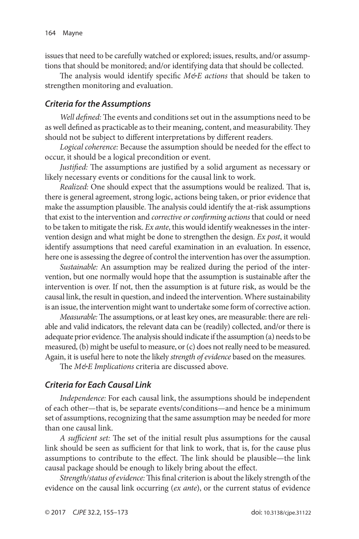issues that need to be carefully watched or explored; issues, results, and/or assumptions that should be monitored; and/or identifying data that should be collected.

The analysis would identify specific *M&E actions* that should be taken to strengthen monitoring and evaluation.

### *Criteria for the Assumptions*

*Well defined:* The events and conditions set out in the assumptions need to be as well defined as practicable as to their meaning, content, and measurability. They should not be subject to different interpretations by different readers.

*Logical coherence:* Because the assumption should be needed for the effect to occur, it should be a logical precondition or event.

*Justified:* The assumptions are justified by a solid argument as necessary or likely necessary events or conditions for the causal link to work.

*Realized:* One should expect that the assumptions would be realized. That is, there is general agreement, strong logic, actions being taken, or prior evidence that make the assumption plausible. The analysis could identify the at-risk assumptions that exist to the intervention and *corrective or confirming actions* that could or need to be taken to mitigate the risk. *Ex ante*, this would identify weaknesses in the intervention design and what might be done to strengthen the design. *Ex post*, it would identify assumptions that need careful examination in an evaluation. In essence, here one is assessing the degree of control the intervention has over the assumption.

*Sustainable:* An assumption may be realized during the period of the intervention, but one normally would hope that the assumption is sustainable after the intervention is over. If not, then the assumption is at future risk, as would be the causal link, the result in question, and indeed the intervention. Where sustainability is an issue, the intervention might want to undertake some form of corrective action.

*Measurable:* The assumptions, or at least key ones, are measurable: there are reliable and valid indicators, the relevant data can be (readily) collected, and/or there is adequate prior evidence. The analysis should indicate if the assumption (a) needs to be measured, (b) might be useful to measure, or (c) does not really need to be measured. Again, it is useful here to note the likely *strength of evidence* based on the measures.

The *M&E Implications* criteria are discussed above.

### *Criteria for Each Causal Link*

*Independence:* For each causal link, the assumptions should be independent of each other—that is, be separate events/conditions—and hence be a minimum set of assumptions, recognizing that the same assumption may be needed for more than one causal link.

*A sufficient set:* The set of the initial result plus assumptions for the causal link should be seen as sufficient for that link to work, that is, for the cause plus assumptions to contribute to the effect. The link should be plausible—the link causal package should be enough to likely bring about the effect.

*Strength/status of evidence:* This final criterion is about the likely strength of the evidence on the causal link occurring (*ex ante*), or the current status of evidence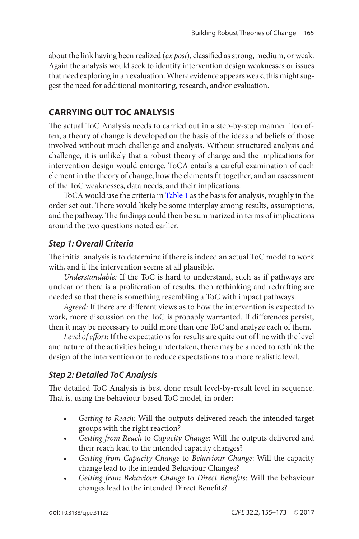about the link having been realized (*ex post*), classified as strong, medium, or weak. Again the analysis would seek to identify intervention design weaknesses or issues that need exploring in an evaluation. Where evidence appears weak, this might suggest the need for additional monitoring, research, and/or evaluation.

# **Carrying Out ToC Analysis**

The actual ToC Analysis needs to carried out in a step-by-step manner. Too often, a theory of change is developed on the basis of the ideas and beliefs of those involved without much challenge and analysis. Without structured analysis and challenge, it is unlikely that a robust theory of change and the implications for intervention design would emerge. ToCA entails a careful examination of each element in the theory of change, how the elements fit together, and an assessment of the ToC weaknesses, data needs, and their implications.

ToCA would use the criteria in [Table 1](#page-7-0) as the basis for analysis, roughly in the order set out. There would likely be some interplay among results, assumptions, and the pathway. The findings could then be summarized in terms of implications around the two questions noted earlier.

# *Step 1: Overall Criteria*

The initial analysis is to determine if there is indeed an actual ToC model to work with, and if the intervention seems at all plausible.

*Understandable:* If the ToC is hard to understand, such as if pathways are unclear or there is a proliferation of results, then rethinking and redrafting are needed so that there is something resembling a ToC with impact pathways.

*Agreed:* If there are different views as to how the intervention is expected to work, more discussion on the ToC is probably warranted. If differences persist, then it may be necessary to build more than one ToC and analyze each of them.

*Level of effort:* If the expectations for results are quite out of line with the level and nature of the activities being undertaken, there may be a need to rethink the design of the intervention or to reduce expectations to a more realistic level.

# *Step 2: Detailed ToC Analysis*

The detailed ToC Analysis is best done result level-by-result level in sequence. That is, using the behaviour-based ToC model, in order:

- *Getting to Reach*: Will the outputs delivered reach the intended target groups with the right reaction?
- *Getting from Reach* to *Capacity Change*: Will the outputs delivered and their reach lead to the intended capacity changes?
- *Getting from Capacity Change* to *Behaviour Change*: Will the capacity change lead to the intended Behaviour Changes?
- *Getting from Behaviour Change* to *Direct Benefits*: Will the behaviour changes lead to the intended Direct Benefits?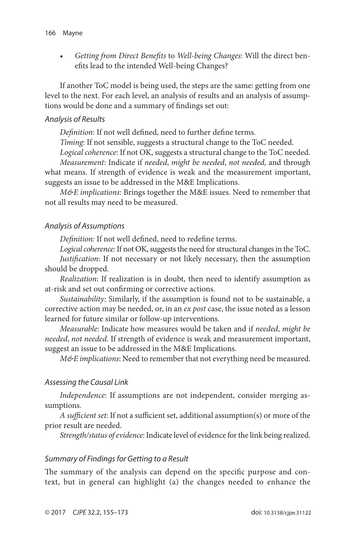• *Getting from Direct Benefits* to *Well-being Changes*: Will the direct benefits lead to the intended Well-being Changes?

If another ToC model is being used, the steps are the same: getting from one level to the next. For each level, an analysis of results and an analysis of assumptions would be done and a summary of findings set out:

#### *Analysis of Results*

*Definition*: If not well defined, need to further define terms.

*Timing*: If not sensible, suggests a structural change to the ToC needed.

*Logical coherence*: If not OK, suggests a structural change to the ToC needed.

*Measurement*: Indicate if *needed*, *might be needed*, *not needed,* and through what means. If strength of evidence is weak and the measurement important, suggests an issue to be addressed in the M&E Implications.

*M&E implications*: Brings together the M&E issues. Need to remember that not all results may need to be measured.

#### *Analysis of Assumptions*

*Definition:* If not well defined, need to redefine terms.

*Logical coherence:* If not OK, suggests the need for structural changes in the ToC. *Justification*: If not necessary or not likely necessary, then the assumption should be dropped.

*Realization*: If realization is in doubt, then need to identify assumption as at-risk and set out confirming or corrective actions.

*Sustainability:* Similarly, if the assumption is found not to be sustainable, a corrective action may be needed, or, in an *ex post* case, the issue noted as a lesson learned for future similar or follow-up interventions.

*Measurable*: Indicate how measures would be taken and if *needed*, *might be needed*, *not needed.* If strength of evidence is weak and measurement important, suggest an issue to be addressed in the M&E Implications.

*M&E implications*: Need to remember that not everything need be measured.

### *Assessing the Causal Link*

*Independence*: If assumptions are not independent, consider merging assumptions.

*A sufficient set*: If not a sufficient set, additional assumption(s) or more of the prior result are needed.

*Strength/status of evidence*: Indicate level of evidence for the link being realized.

#### *Summary of Findings for Getting to a Result*

The summary of the analysis can depend on the specific purpose and context, but in general can highlight (a) the changes needed to enhance the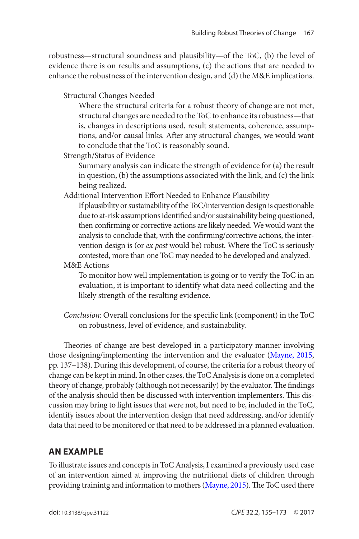robustness—structural soundness and plausibility—of the ToC, (b) the level of evidence there is on results and assumptions, (c) the actions that are needed to enhance the robustness of the intervention design, and (d) the M&E implications.

Structural Changes Needed

Where the structural criteria for a robust theory of change are not met, structural changes are needed to the ToC to enhance its robustness—that is, changes in descriptions used, result statements, coherence, assumptions, and/or causal links. After any structural changes, we would want to conclude that the ToC is reasonably sound.

Strength/Status of Evidence

Summary analysis can indicate the strength of evidence for (a) the result in question, (b) the assumptions associated with the link, and (c) the link being realized.

Additional Intervention Effort Needed to Enhance Plausibility

If plausibility or sustainability of the ToC/intervention design is questionable due to at-risk assumptions identified and/or sustainability being questioned, then confirming or corrective actions are likely needed. We would want the analysis to conclude that, with the confirming/corrective actions, the intervention design is (or *ex post* would be) robust. Where the ToC is seriously contested, more than one ToC may needed to be developed and analyzed.

M&E Actions

To monitor how well implementation is going or to verify the ToC in an evaluation, it is important to identify what data need collecting and the likely strength of the resulting evidence.

*Conclusion*: Overall conclusions for the specific link (component) in the ToC on robustness, level of evidence, and sustainability.

Theories of change are best developed in a participatory manner involving those designing/implementing the intervention and the evaluator ([Mayne, 2015](#page-17-0), pp. 137–138). During this development, of course, the criteria for a robust theory of change can be kept in mind. In other cases, the ToC Analysis is done on a completed theory of change, probably (although not necessarily) by the evaluator. The findings of the analysis should then be discussed with intervention implementers. This discussion may bring to light issues that were not, but need to be, included in the ToC, identify issues about the intervention design that need addressing, and/or identify data that need to be monitored or that need to be addressed in a planned evaluation.

# **An Example**

To illustrate issues and concepts in ToC Analysis, I examined a previously used case of an intervention aimed at improving the nutritional diets of children through providing trainintg and information to mothers ([Mayne, 2015](#page-17-0)). The ToC used there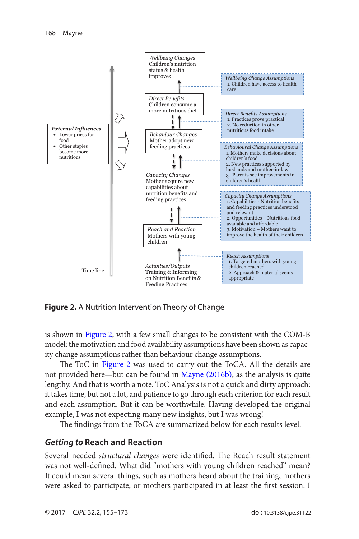<span id="page-13-0"></span>

**Figure 2.** A Nutrition Intervention Theory of Change

is shown in Figure 2, with a few small changes to be consistent with the COM-B model: the motivation and food availability assumptions have been shown as capacity change assumptions rather than behaviour change assumptions.

The ToC in Figure 2 was used to carry out the ToCA. All the details are not provided here—but can be found in [Mayne \(2016b\)](#page-17-0), as the analysis is quite lengthy. And that is worth a note. ToC Analysis is not a quick and dirty approach: it takes time, but not a lot, and patience to go through each criterion for each result and each assumption. But it can be worthwhile. Having developed the original example, I was not expecting many new insights, but I was wrong!

The findings from the ToCA are summarized below for each results level.

#### *Getting to* **Reach and Reaction**

Several needed *structural changes* were identified. The Reach result statement was not well-defined. What did "mothers with young children reached" mean? It could mean several things, such as mothers heard about the training, mothers were asked to participate, or mothers participated in at least the first session. I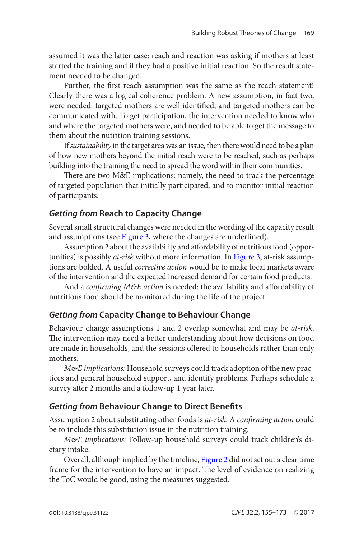assumed it was the latter case: reach and reaction was asking if mothers at least started the training and if they had a positive initial reaction. So the result statement needed to be changed.

Further, the first reach assumption was the same as the reach statement! Clearly there was a logical coherence problem. A new assumption, in fact two, were needed: targeted mothers are well identified, and targeted mothers can be communicated with. To get participation, the intervention needed to know who and where the targeted mothers were, and needed to be able to get the message to them about the nutrition training sessions.

If *sustainability* in the target area was an issue, then there would need to be a plan of how new mothers beyond the initial reach were to be reached, such as perhaps building into the training the need to spread the word within their communities.

There are two M&E implications: namely, the need to track the percentage of targeted population that initially participated, and to monitor initial reaction of participants.

### *Getting from* **Reach to Capacity Change**

Several small structural changes were needed in the wording of the capacity result and assumptions (see [Figure 3](#page-15-0), where the changes are underlined).

Assumption 2 about the availability and affordability of nutritious food (opportunities) is possibly *at-risk* without more information. In [Figure 3](#page-15-0), at-risk assumptions are bolded. A useful *corrective action* would be to make local markets aware of the intervention and the expected increased demand for certain food products.

And a *confirming M&E action* is needed: the availability and affordability of nutritious food should be monitored during the life of the project.

# *Getting from* **Capacity Change to Behaviour Change**

Behaviour change assumptions 1 and 2 overlap somewhat and may be *at-risk*. The intervention may need a better understanding about how decisions on food are made in households, and the sessions offered to households rather than only mothers.

*M&E implications:* Household surveys could track adoption of the new practices and general household support, and identify problems. Perhaps schedule a survey after 2 months and a follow-up 1 year later.

# *Getting from* **Behaviour Change to Direct Benefits**

Assumption 2 about substituting other foods is *at-risk*. A *confirming action* could be to include this substitution issue in the nutrition training.

*M&E implications:* Follow-up household surveys could track children's dietary intake.

Overall, although implied by the timeline, [Figure 2](#page-13-0) did not set out a clear time frame for the intervention to have an impact. The level of evidence on realizing the ToC would be good, using the measures suggested.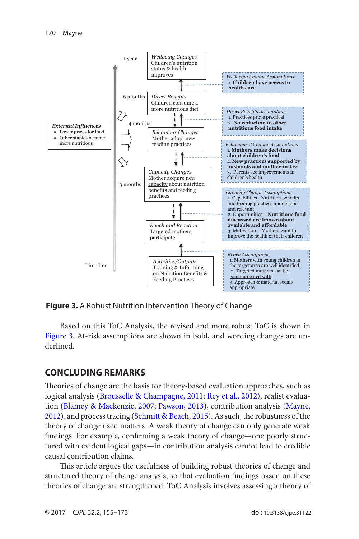<span id="page-15-0"></span>

**Figure 3.** A Robust Nutrition Intervention Theory of Change

Based on this ToC Analysis, the revised and more robust ToC is shown in Figure 3. At-risk assumptions are shown in bold, and wording changes are underlined.

### **Concluding Remarks**

Theories of change are the basis for theory-based evaluation approaches, such as logical analysis ([Brousselle & Champagne, 2011](#page-16-0); [Rey et al., 2012\)](#page-17-0), realist evaluation ([Blamey & Mackenzie, 2007](#page-16-0); [Pawson, 2013](#page-17-0)), contribution analysis ([Mayne,](#page-17-0) [2012](#page-17-0)), and process tracing ([Schmitt & Beach, 2015](#page-17-0)). As such, the robustness of the theory of change used matters. A weak theory of change can only generate weak findings. For example, confirming a weak theory of change—one poorly structured with evident logical gaps—in contribution analysis cannot lead to credible causal contribution claims.

This article argues the usefulness of building robust theories of change and structured theory of change analysis, so that evaluation findings based on these theories of change are strengthened. ToC Analysis involves assessing a theory of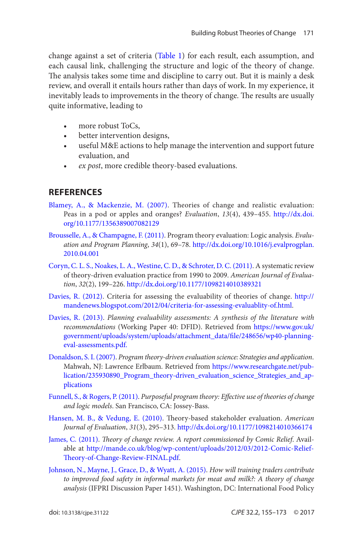<span id="page-16-0"></span>change against a set of criteria ([Table 1](#page-7-0)) for each result, each assumption, and each causal link, challenging the structure and logic of the theory of change. The analysis takes some time and discipline to carry out. But it is mainly a desk review, and overall it entails hours rather than days of work. In my experience, it inevitably leads to improvements in the theory of change. The results are usually quite informative, leading to

- more robust ToCs,
- better intervention designs,
- useful M&E actions to help manage the intervention and support future evaluation, and
- *ex post*, more credible theory-based evaluations.

## **References**

- [Blamey, A., & Mackenzie, M. \(2007\)](#page-15-0). Theories of change and realistic evaluation: Peas in a pod or apples and oranges? *Evaluation*, *13*(4), 439–455. [http://dx.doi.](http://dx.doi.org/10.1177/1356389007082129) [org/10.1177/1356389007082129](http://dx.doi.org/10.1177/1356389007082129)
- [Brousselle, A., & Champagne, F. \(2011\)](#page-15-0). Program theory evaluation: Logic analysis. *Evaluation and Program Planning*, *34*(1), 69–78. [http://dx.doi.org/10.1016/j.evalprogplan.](http://dx.doi.org/10.1016/j.evalprogplan.2010.04.001) [2010.04.001](http://dx.doi.org/10.1016/j.evalprogplan.2010.04.001)
- [Coryn, C. L. S., Noakes, L. A., Westine, C. D., & Schroter, D. C. \(2011\)](#page-0-0). A systematic review of theory-driven evaluation practice from 1990 to 2009. *American Journal of Evaluation*, *32*(2), 199–226. <http://dx.doi.org/10.1177/1098214010389321>
- [Davies, R. \(2012\)](#page-3-0). Criteria for assessing the evaluability of theories of change. [http://](http://mandenews.blogspot.com/2012/04/criteria-for-assessing-evaluablity-of.html) [mandenews.blogspot.com/2012/04/criteria-for-assessing-evaluablity-of.html](http://mandenews.blogspot.com/2012/04/criteria-for-assessing-evaluablity-of.html).
- [Davies, R. \(2013\)](#page-5-0). *Planning evaluability assessments: A synthesis of the literature with recommendations* (Working Paper 40: DFID). Retrieved from [https://www.gov.uk/](https://www.gov.uk/government/uploads/system/uploads/attachment_data/file/248656/wp40-planning-eval-assessments.pdf) [government/uploads/system/uploads/attachment\\_data/file/248656/wp40-planning](https://www.gov.uk/government/uploads/system/uploads/attachment_data/file/248656/wp40-planning-eval-assessments.pdf)[eval-assessments.pdf.](https://www.gov.uk/government/uploads/system/uploads/attachment_data/file/248656/wp40-planning-eval-assessments.pdf)
- [Donaldson, S. I. \(2007\)](#page-0-0). *Program theory-driven evaluation science: Strategies and application*. Mahwah, NJ: Lawrence Erlbaum. Retrieved from [https://www.researchgate.net/pub](https://www.researchgate.net/pub-lication/235930890_Program_theory-driven_evaluation_science_Strategies_and_applications)[lication/235930890\\_Program\\_theory-driven\\_evaluation\\_science\\_Strategies\\_and\\_ap](https://www.researchgate.net/pub-lication/235930890_Program_theory-driven_evaluation_science_Strategies_and_applications)[plications](https://www.researchgate.net/pub-lication/235930890_Program_theory-driven_evaluation_science_Strategies_and_applications)
- [Funnell, S., & Rogers, P. \(2011\)](#page-0-0). *Purposeful program theory: Effective use of theories of change and logic models*. San Francisco, CA: Jossey-Bass.
- [Hansen, M. B., & Vedung, E. \(2010\)](#page-8-0). Theory-based stakeholder evaluation. *American Journal of Evaluation*, *31*(3), 295–313.<http://dx.doi.org/10.1177/1098214010366174>
- [James, C. \(2011\)](#page-0-0). *Theory of change review. A report commissioned by Comic Relief*. Available at [http://mande.co.uk/blog/wp-content/uploads/2012/03/2012-Comic-Relief-](http://mande.co.uk/blog/wp-content/uploads/2012/03/2012-Comic-Relief-Theory-of-Change-Review-FINAL.pdf)[Theory-of-Change-Review-FINAL.pdf](http://mande.co.uk/blog/wp-content/uploads/2012/03/2012-Comic-Relief-Theory-of-Change-Review-FINAL.pdf).
- [Johnson, N., Mayne, J., Grace, D., & Wyatt, A. \(2015\).](#page-3-0) *How will training traders contribute to improved food safety in informal markets for meat and milk?: A theory of change analysis* (IFPRI Discussion Paper 1451). Washington, DC: International Food Policy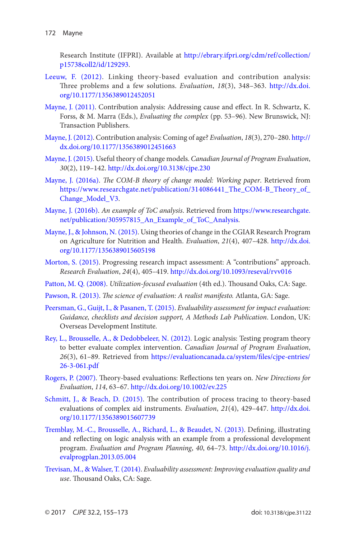<span id="page-17-0"></span>Research Institute (IFPRI). Available at [http://ebrary.ifpri.org/cdm/ref/collection/](http://ebrary.ifpri.org/cdm/ref/collection/p15738coll2/id/129293) [p15738coll2/id/129293](http://ebrary.ifpri.org/cdm/ref/collection/p15738coll2/id/129293).

- [Leeuw, F. \(2012\)](#page-3-0). Linking theory-based evaluation and contribution analysis: Three problems and a few solutions. *Evaluation*, *18*(3), 348–363. [http://dx.doi.](http://dx.doi.org/10.1177/1356389012452051) [org/10.1177/1356389012452051](http://dx.doi.org/10.1177/1356389012452051)
- [Mayne, J. \(2011\).](#page-5-0) Contribution analysis: Addressing cause and effect. In R. Schwartz, K. Forss, & M. Marra (Eds.), *Evaluating the complex* (pp. 53–96). New Brunswick, NJ: Transaction Publishers.
- [Mayne, J. \(2012\)](#page-15-0). Contribution analysis: Coming of age? *Evaluation*, *18*(3), 270–280. [http://](http://dx.doi.org/10.1177/1356389012451663) [dx.doi.org/10.1177/1356389012451663](http://dx.doi.org/10.1177/1356389012451663)
- [Mayne, J. \(2015\)](#page-1-0). Useful theory of change models. *Canadian Journal of Program Evaluation*, *30*(2), 119–142. <http://dx.doi.org/10.3138/cjpe.230>
- [Mayne, J. \(2016a\)](#page-1-0). *The COM-B theory of change model: Working paper*. Retrieved from https://www.researchgate.net/publication/314086441\_The\_COM-B\_Theory\_of [Change\\_Model\\_V3](https://www.researchgate.net/publication/314086441_The_COM-B_Theory_of_Change_Model_V3).
- [Mayne, J. \(2016b\)](#page-13-0). *An example of ToC analysis*. Retrieved from [https://www.researchgate.](https://www.researchgate.net/publication/305957815_An_Example_of_ToC_Analysis) [net/publication/305957815\\_An\\_Example\\_of\\_ToC\\_Analysis](https://www.researchgate.net/publication/305957815_An_Example_of_ToC_Analysis).
- [Mayne, J., & Johnson, N. \(2015\)](#page-3-0). Using theories of change in the CGIAR Research Program on Agriculture for Nutrition and Health. *Evaluation*, *21*(4), 407–428. [http://dx.doi.](http://dx.doi.org/10.1177/1356389015605198) [org/10.1177/1356389015605198](http://dx.doi.org/10.1177/1356389015605198)
- [Morton, S. \(2015\)](#page-8-0). Progressing research impact assessment: A "contributions" approach. *Research Evaluation*, *24*(4), 405–419.<http://dx.doi.org/10.1093/reseval/rvv016>
- [Patton, M. Q. \(2008\)](#page-0-0). *Utilization-focused evaluation* (4th ed.). Thousand Oaks, CA: Sage.
- [Pawson, R. \(2013\)](#page-15-0). *The science of evaluation: A realist manifesto.* Atlanta, GA: Sage.
- [Peersman, G., Guijt, I., & Pasanen, T. \(2015\)](#page-5-0). *Evaluability assessment for impact evaluation: Guidance, checklists and decision support, A Methods Lab Publication*. London, UK: Overseas Development Institute.
- [Rey, L., Brousselle, A., & Dedobbeleer, N. \(2012\)](#page-3-0). Logic analysis: Testing program theory to better evaluate complex intervention. *Canadian Journal of Program Evaluation*, *26*(3), 61–89. Retrieved from [https://evaluationcanada.ca/system/files/cjpe-entries/](https://evaluationcanada.ca/system/files/cjpe-entries/26-3-061.pdf) [26-3-061.pdf](https://evaluationcanada.ca/system/files/cjpe-entries/26-3-061.pdf)
- [Rogers, P. \(2007\)](#page-0-0). Theory-based evaluations: Reflections ten years on. *New Directions for Evaluation*, *114*, 63–67.<http://dx.doi.org/10.1002/ev.225>
- [Schmitt, J., & Beach, D. \(2015\)](#page-15-0). The contribution of process tracing to theory-based evaluations of complex aid instruments. *Evaluation*, *21*(4), 429–447. [http://dx.doi.](http://dx.doi.org/10.1177/1356389015607739) [org/10.1177/1356389015607739](http://dx.doi.org/10.1177/1356389015607739)
- [Tremblay, M.-C., Brousselle, A., Richard, L., & Beaudet, N. \(2013\)](#page-3-0). Defining, illustrating and reflecting on logic analysis with an example from a professional development program. *Evaluation and Program Planning*, *40*, 64–73. [http://dx.doi.org/10.1016/j.](http://dx.doi.org/10.1016/j.evalprogplan.2013.05.004) [evalprogplan.2013.05.004](http://dx.doi.org/10.1016/j.evalprogplan.2013.05.004)
- [Trevisan, M., & Walser, T. \(2014\)](#page-5-0). *Evaluability assessment: Improving evaluation quality and use*. Thousand Oaks, CA: Sage.